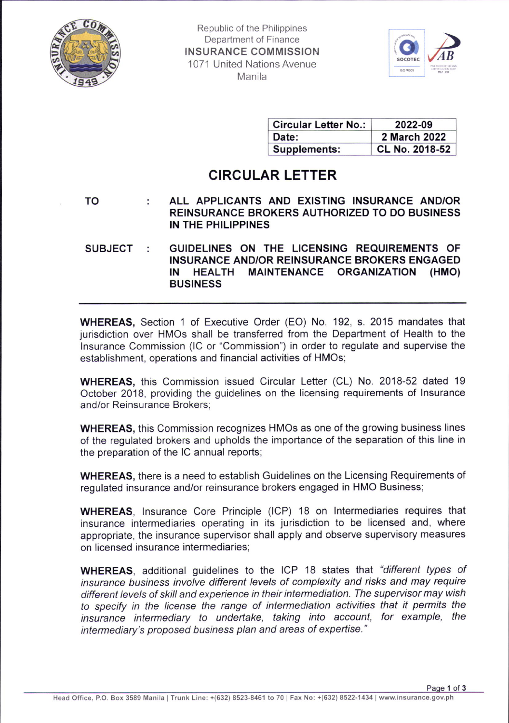

Republic of the Philippines Department of Finance INSURANCE COMMISSION 1071 United Nations Avenue Manila



| <b>Circular Letter No.:</b> | 2022-09        |
|-----------------------------|----------------|
| Date:                       | 2 March 2022   |
| Supplements:                | CL No. 2018-52 |

## CIRCULAR LETTER

ALL APPLICANTS AND EXISTING INSURANCE AND/OR TO ÷ REINSURANCE BROKERS AUTHORIZED TO DO BUSINESS IN THE PHILIPPINES

SUBJECT GUIDELINES ON THE LICENSING REQUIREMENTS OF INSURANCE AND/OR REINSURANCE BROKERS ENGAGED IN HEALTH MAINTENANCE ORGANIZATION (HMO) BUSINESS

WHEREAS, Section 1 of Executive Order (EO) No. 192, s. 2015 mandates that jurisdiction over HMOs shall be transferred from the Department of Health to the lnsurance Commission (lC or "Commission") in order to regulate and supervise the establishment, operations and financial activities of HMOs;

WHEREAS, this Commission issued Circular Letter (CL) No.2018-52 dated 19 October 2018, providing the guidelines on the licensing requirements of lnsurance and/or Reinsurance Brokers;

WHEREAS, this Commission recognizes HMOs as one of the growing business lines of the regulated brokers and upholds the importance of the separation of this line in the preparation of the lC annual reports;

WHEREAS, there is a need to establish Guidelines on the Licensing Requirements of regulated insurance and/or reinsurance brokers engaged in HMO Business;

WHEREAS, lnsurance Core Principle (lCP) 18 on lntermediaries requires that insurance intermediaries operating in its jurisdiction to be licensed and, where appropriate, the insurance supervisor shall apply and observe supervisory measures on licensed insurance intermediaries;

WHEREAS, additional guidelines to the ICP 18 states that "different types of insurance business involve different levels of complexity and risks and may require different levels of skill and experience in their intermediation. The supervisor may wish to specify in the license the range of intermediation activities that it permits the insurance intermediary to undeftake, taking into account, for example, the intermediary's proposed business plan and areas of expertise."